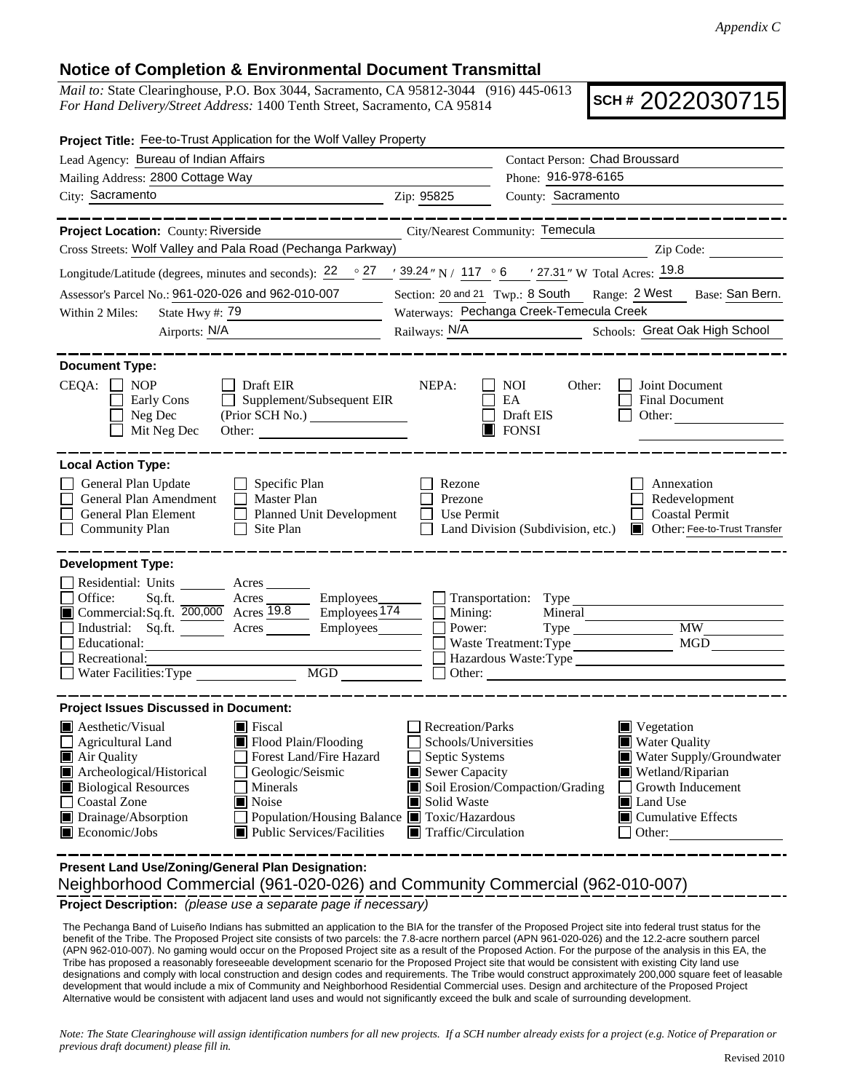## **Notice of Completion & Environmental Document Transmittal**

*Mail to:* State Clearinghouse, P.O. Box 3044, Sacramento, CA 95812-3044 (916) 445-0613 *For Hand Delivery/Street Address:* 1400 Tenth Street, Sacramento, CA 95814

**SCH #** 2022030715

| <b>Project Title:</b> Fee-to-Trust Application for the Wolf Valley Property                                                                                                                                                                                                                                                                                                                               |                                                                                                                    |                                                                                                                     |                                                                                                                                                                                   |  |
|-----------------------------------------------------------------------------------------------------------------------------------------------------------------------------------------------------------------------------------------------------------------------------------------------------------------------------------------------------------------------------------------------------------|--------------------------------------------------------------------------------------------------------------------|---------------------------------------------------------------------------------------------------------------------|-----------------------------------------------------------------------------------------------------------------------------------------------------------------------------------|--|
| Lead Agency: Bureau of Indian Affairs                                                                                                                                                                                                                                                                                                                                                                     | Contact Person: Chad Broussard                                                                                     |                                                                                                                     |                                                                                                                                                                                   |  |
| Mailing Address: 2800 Cottage Way                                                                                                                                                                                                                                                                                                                                                                         |                                                                                                                    | Phone: 916-978-6165                                                                                                 |                                                                                                                                                                                   |  |
| City: Sacramento<br><u> 1989 - Johann Barn, mars an t-Amerikaansk politiker (</u>                                                                                                                                                                                                                                                                                                                         | Zip: 95825                                                                                                         | County: Sacramento                                                                                                  |                                                                                                                                                                                   |  |
| ________                                                                                                                                                                                                                                                                                                                                                                                                  |                                                                                                                    |                                                                                                                     | ____________                                                                                                                                                                      |  |
| City/Nearest Community: Temecula<br>Project Location: County: Riverside                                                                                                                                                                                                                                                                                                                                   |                                                                                                                    |                                                                                                                     |                                                                                                                                                                                   |  |
| Cross Streets: Wolf Valley and Pala Road (Pechanga Parkway)                                                                                                                                                                                                                                                                                                                                               |                                                                                                                    | <u> 1989 - Johann Barn, mars eta bainar eta baina eta baina eta baina eta baina eta baina eta baina eta baina e</u> | Zip Code:                                                                                                                                                                         |  |
| Longitude/Latitude (degrees, minutes and seconds): $22 \degree$ 27 / $39.24$ "N / 117 ° 6 / 27.31 "W Total Acres: 19.8                                                                                                                                                                                                                                                                                    |                                                                                                                    |                                                                                                                     |                                                                                                                                                                                   |  |
| Assessor's Parcel No.: 961-020-026 and 962-010-007                                                                                                                                                                                                                                                                                                                                                        | Section: 20 and 21 Twp.: 8 South Range: 2 West Base: San Bern.                                                     |                                                                                                                     |                                                                                                                                                                                   |  |
| State Hwy #: 79<br>Within 2 Miles:<br><u> 1990 - Johann Barbara, martin a</u>                                                                                                                                                                                                                                                                                                                             | Waterways: Pechanga Creek-Temecula Creek                                                                           |                                                                                                                     |                                                                                                                                                                                   |  |
| Airports: N/A<br><u> 1989 - Johann Barbara, martin a</u>                                                                                                                                                                                                                                                                                                                                                  | Railways: N/A                                                                                                      |                                                                                                                     | Schools: Great Oak High School                                                                                                                                                    |  |
| <b>Document Type:</b><br>CEQA:<br>Draft EIR<br>$\blacksquare$ NOP<br>NEPA:<br>NOI<br>Other:<br>Joint Document<br>Supplement/Subsequent EIR<br>Early Cons<br>EA<br><b>Final Document</b><br>Neg Dec<br>Draft EIS<br>Other:<br>Mit Neg Dec<br>$\Box$ FONSI<br>Other:                                                                                                                                        |                                                                                                                    |                                                                                                                     |                                                                                                                                                                                   |  |
| General Plan Update<br>Specific Plan<br>General Plan Amendment<br>Master Plan<br>General Plan Element<br>Planned Unit Development<br><b>Community Plan</b><br>Site Plan<br>⊔                                                                                                                                                                                                                              | Rezone<br>Prezone<br>Use Permit                                                                                    |                                                                                                                     | Annexation<br>Redevelopment<br><b>Coastal Permit</b><br>Land Division (Subdivision, etc.) ■ Other: Fee-to-Trust Transfer                                                          |  |
| <b>Development Type:</b><br>Residential: Units<br>Acres<br>Office:<br>Acres<br>Employees_<br>Sq.ft.<br>Commercial:Sq.ft. 200,000 Acres 19.8<br>$-$ Employees $\overline{174}$<br>Industrial: Sq.ft.<br>Employees<br>Acres<br>Educational:<br>Recreational:<br>MGD<br>Water Facilities: Type                                                                                                               | Mining:<br>Power:                                                                                                  | $\Box$ Transportation: Type<br>Mineral<br>Waste Treatment: Type<br>Other:                                           | $\overline{\text{MW}}$<br>MGD<br>Hazardous Waste: Type                                                                                                                            |  |
| <b>Project Issues Discussed in Document:</b>                                                                                                                                                                                                                                                                                                                                                              |                                                                                                                    |                                                                                                                     |                                                                                                                                                                                   |  |
| $\blacksquare$ Aesthetic/Visual<br>■ Fiscal<br>Flood Plain/Flooding<br><b>Agricultural Land</b><br>Air Quality<br>Forest Land/Fire Hazard<br>Archeological/Historical<br>Geologic/Seismic<br>Ш<br><b>Biological Resources</b><br>Minerals<br>■ Noise<br>Coastal Zone<br>Drainage/Absorption<br>Population/Housing Balance ■ Toxic/Hazardous<br>Public Services/Facilities<br>$\blacksquare$ Economic/Jobs | Recreation/Parks<br>Schools/Universities<br>Septic Systems<br>Sewer Capacity<br>Solid Waste<br>Traffic/Circulation | Soil Erosion/Compaction/Grading                                                                                     | $\blacksquare$ Vegetation<br><b>Water Quality</b><br>Water Supply/Groundwater<br>Wetland/Riparian<br>Growth Inducement<br>Land Use<br>$\blacksquare$ Cumulative Effects<br>Other: |  |

**Project Description:** *(please use a separate page if necessary)* Neighborhood Commercial (961-020-026) and Community Commercial (962-010-007) **Present Land Use/Zoning/General Plan Designation:**

 The Pechanga Band of Luiseño Indians has submitted an application to the BIA for the transfer of the Proposed Project site into federal trust status for the benefit of the Tribe. The Proposed Project site consists of two parcels: the 7.8-acre northern parcel (APN 961-020-026) and the 12.2-acre southern parcel (APN 962-010-007). No gaming would occur on the Proposed Project site as a result of the Proposed Action. For the purpose of the analysis in this EA, the Tribe has proposed a reasonably foreseeable development scenario for the Proposed Project site that would be consistent with existing City land use designations and comply with local construction and design codes and requirements. The Tribe would construct approximately 200,000 square feet of leasable development that would include a mix of Community and Neighborhood Residential Commercial uses. Design and architecture of the Proposed Project Alternative would be consistent with adjacent land uses and would not significantly exceed the bulk and scale of surrounding development.

*Note: The State Clearinghouse will assign identification numbers for all new projects. If a SCH number already exists for a project (e.g. Notice of Preparation or previous draft document) please fill in.*